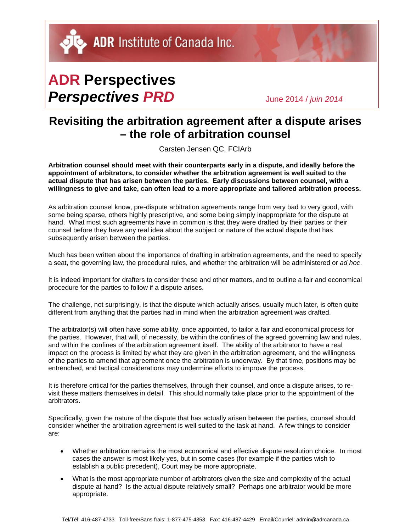## **ADR Perspectives** *Perspectives PRD* June 2014 / *juin 2014*

## **Revisiting the arbitration agreement after a dispute arises – the role of arbitration counsel**

Carsten Jensen QC, FCIArb

**Arbitration counsel should meet with their counterparts early in a dispute, and ideally before the appointment of arbitrators, to consider whether the arbitration agreement is well suited to the actual dispute that has arisen between the parties. Early discussions between counsel, with a willingness to give and take, can often lead to a more appropriate and tailored arbitration process.**

As arbitration counsel know, pre-dispute arbitration agreements range from very bad to very good, with some being sparse, others highly prescriptive, and some being simply inappropriate for the dispute at hand. What most such agreements have in common is that they were drafted by their parties or their counsel before they have any real idea about the subject or nature of the actual dispute that has subsequently arisen between the parties.

Much has been written about the importance of drafting in arbitration agreements, and the need to specify a seat, the governing law, the procedural rules, and whether the arbitration will be administered or *ad hoc*.

It is indeed important for drafters to consider these and other matters, and to outline a fair and economical procedure for the parties to follow if a dispute arises.

The challenge, not surprisingly, is that the dispute which actually arises, usually much later, is often quite different from anything that the parties had in mind when the arbitration agreement was drafted.

The arbitrator(s) will often have some ability, once appointed, to tailor a fair and economical process for the parties. However, that will, of necessity, be within the confines of the agreed governing law and rules, and within the confines of the arbitration agreement itself. The ability of the arbitrator to have a real impact on the process is limited by what they are given in the arbitration agreement, and the willingness of the parties to amend that agreement once the arbitration is underway. By that time, positions may be entrenched, and tactical considerations may undermine efforts to improve the process.

It is therefore critical for the parties themselves, through their counsel, and once a dispute arises, to revisit these matters themselves in detail. This should normally take place prior to the appointment of the arbitrators.

Specifically, given the nature of the dispute that has actually arisen between the parties, counsel should consider whether the arbitration agreement is well suited to the task at hand. A few things to consider are:

- Whether arbitration remains the most economical and effective dispute resolution choice. In most cases the answer is most likely yes, but in some cases (for example if the parties wish to establish a public precedent), Court may be more appropriate.
- What is the most appropriate number of arbitrators given the size and complexity of the actual dispute at hand? Is the actual dispute relatively small? Perhaps one arbitrator would be more appropriate.